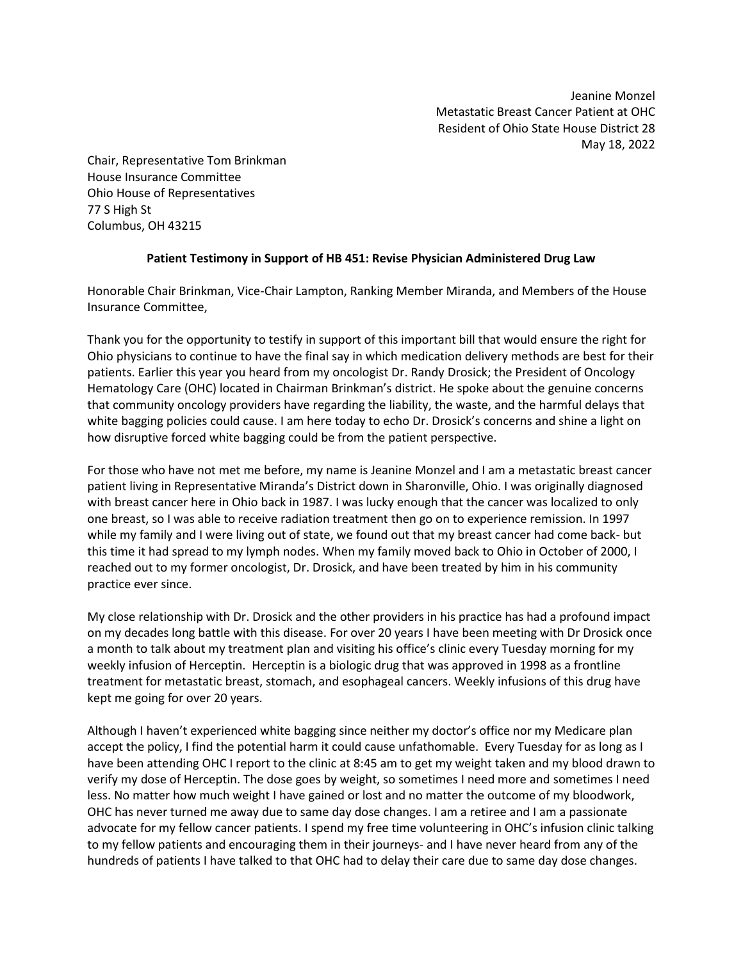Jeanine Monzel Metastatic Breast Cancer Patient at OHC Resident of Ohio State House District 28 May 18, 2022

Chair, Representative Tom Brinkman House Insurance Committee Ohio House of Representatives 77 S High St Columbus, OH 43215

## **Patient Testimony in Support of HB 451: Revise Physician Administered Drug Law**

Honorable Chair Brinkman, Vice-Chair Lampton, Ranking Member Miranda, and Members of the House Insurance Committee,

Thank you for the opportunity to testify in support of this important bill that would ensure the right for Ohio physicians to continue to have the final say in which medication delivery methods are best for their patients. Earlier this year you heard from my oncologist Dr. Randy Drosick; the President of Oncology Hematology Care (OHC) located in Chairman Brinkman's district. He spoke about the genuine concerns that community oncology providers have regarding the liability, the waste, and the harmful delays that white bagging policies could cause. I am here today to echo Dr. Drosick's concerns and shine a light on how disruptive forced white bagging could be from the patient perspective.

For those who have not met me before, my name is Jeanine Monzel and I am a metastatic breast cancer patient living in Representative Miranda's District down in Sharonville, Ohio. I was originally diagnosed with breast cancer here in Ohio back in 1987. I was lucky enough that the cancer was localized to only one breast, so I was able to receive radiation treatment then go on to experience remission. In 1997 while my family and I were living out of state, we found out that my breast cancer had come back- but this time it had spread to my lymph nodes. When my family moved back to Ohio in October of 2000, I reached out to my former oncologist, Dr. Drosick, and have been treated by him in his community practice ever since.

My close relationship with Dr. Drosick and the other providers in his practice has had a profound impact on my decades long battle with this disease. For over 20 years I have been meeting with Dr Drosick once a month to talk about my treatment plan and visiting his office's clinic every Tuesday morning for my weekly infusion of Herceptin. Herceptin is a biologic drug that was approved in 1998 as a frontline treatment for metastatic breast, stomach, and esophageal cancers. Weekly infusions of this drug have kept me going for over 20 years.

Although I haven't experienced white bagging since neither my doctor's office nor my Medicare plan accept the policy, I find the potential harm it could cause unfathomable. Every Tuesday for as long as I have been attending OHC I report to the clinic at 8:45 am to get my weight taken and my blood drawn to verify my dose of Herceptin. The dose goes by weight, so sometimes I need more and sometimes I need less. No matter how much weight I have gained or lost and no matter the outcome of my bloodwork, OHC has never turned me away due to same day dose changes. I am a retiree and I am a passionate advocate for my fellow cancer patients. I spend my free time volunteering in OHC's infusion clinic talking to my fellow patients and encouraging them in their journeys- and I have never heard from any of the hundreds of patients I have talked to that OHC had to delay their care due to same day dose changes.